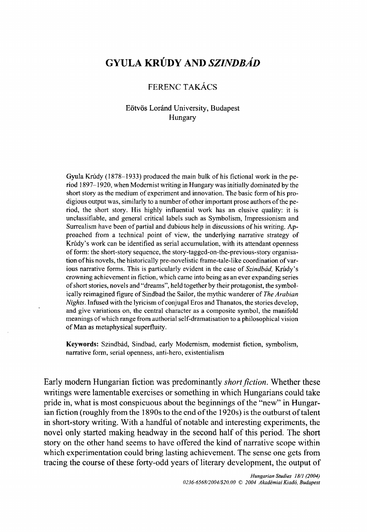# **GYULA KRÚDY AND** *SZINDBÁD*

## FERENC TAKÁCS

#### Eötvös Loránd University, Budapest Hungary

Gyula Krúdy (1878-1933) produced the main bulk of his fictional work in the period 1897-1920, when Modernist writing in Hungary was initially dominated by the short story as the medium of experiment and innovation. The basic form of his prodigious output was, similarly to a number of other important prose authors of the period, the short story. His highly influential work has an elusive quality: it is unclassifiable, and general critical labels such as Symbolism, Impressionism and Surrealism have been of partial and dubious help in discussions of his writing. Approached from a technical point of view, the underlying narrative strategy of Krúdy's work can be identified as serial accumulation, with its attendant openness of form: the short-story sequence, the story-tagged-on-the-previous-story organisation of his novels, the historically pre-novelistic frame-tale-like coordination of various narrative forms. This is particularly evident in the case of *Szindbád,* Krúdy's crowning achievement in fiction, which came into being as an ever expanding series of short stories, novels and "dreams", held together by their protagonist, the symbolically reimagined figure of Sindbad the Sailor, the mythic wanderer *of The Arabian Nights.* Infused with the lyricism of conjugal Eros and Thanatos, the stories develop, and give variations on, the central character as a composite symbol, the manifold meanings of which range from authorial self-dramatisation to a philosophical vision of Man as metaphysical superfluity.

**Keywords:** Szindbád, Sindbad, early Modernism, modernist fiction, symbolism, narrative form, serial openness, anti-hero, existentialism

Early modern Hungarian fiction was predominantly *short fiction.* Whether these writings were lamentable exercises or something in which Hungarians could take pride in, what is most conspicuous about the beginnings of the "new" in Hungarian fiction (roughly from the 1890s to the end of the 1920s) is the outburst of talent in short-story writing. With a handful of notable and interesting experiments, the novel only started making headway in the second half of this period. The short story on the other hand seems to have offered the kind of narrative scope within which experimentation could bring lasting achievement. The sense one gets from tracing the course of these forty-odd years of literary development, the output of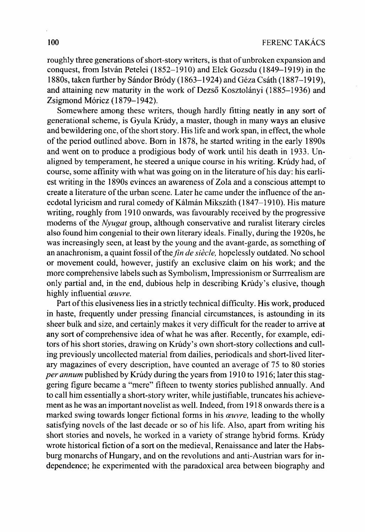roughly three generations of short-story writers, is that of unbroken expansion and conquest, from István Petelei (1852-1910) and Elek Gozsdu (1849-1919) in the 1880s, taken further by Sándor Bródy ( 1863-1924) and Géza Csáth (1887-1919), and attaining new maturity in the work of Dezső Kosztolányi (1885–1936) and Zsigmond Móricz (1879-1942).

Somewhere among these writers, though hardly fitting neatly in any sort of generational scheme, is Gyula Krúdy, a master, though in many ways an elusive and bewildering one, of the short story. His life and work span, in effect, the whole of the period outlined above. Born in 1878, he started writing in the early 1890s and went on to produce a prodigious body of work until his death in 1933. Unaligned by temperament, he steered a unique course in his writing. Krúdy had, of course, some affinity with what was going on in the literature of his day: his earliest writing in the 1890s evinces an awareness of Zola and a conscious attempt to create a literature of the urban scene. Later he came under the influence of the anecdotal lyricism and rural comedy of Kálmán Mikszáth (1847-1910). His mature writing, roughly from 1910 onwards, was favourably received by the progressive moderns of the *Nyugat* group, although conservative and ruralist literary circles also found him congenial to their own literary ideals. Finally, during the 1920s, he was increasingly seen, at least by the young and the avant-garde, as something of an anachronism, a quaint fossil of the *fin de siècle*, hopelessly outdated. No school or movement could, however, justify an exclusive claim on his work; and the more comprehensive labels such as Symbolism, Impressionism or Surrrealism are only partial and, in the end, dubious help in describing Krúdy's elusive, though highly influential *œuvre.* 

Part of this elusiveness lies in a strictly technical difficulty. His work, produced in haste, frequently under pressing financial circumstances, is astounding in its sheer bulk and size, and certainly makes it very difficult for the reader to arrive at any sort of comprehensive idea of what he was after. Recently, for example, editors of his short stories, drawing on Krudy's own short-story collections and culling previously uncollected material from dailies, periodicals and short-lived literary magazines of every description, have counted an average of 75 to 80 stories *per annum* published by Krúdy during the years from 1910 to 1916; later this staggering figure became a "mere" fifteen to twenty stories published annually. And to call him essentially a short-story writer, while justifiable, truncates his achievement as he was an important novelist as well. Indeed, from 1918 onwards there is a marked swing towards longer fictional forms in his *œuvre,* leading to the wholly satisfying novels of the last decade or so of his life. Also, apart from writing his short stories and novels, he worked in a variety of strange hybrid forms. Krúdy wrote historical fiction of a sort on the medieval, Renaissance and later the Habsburg monarchs of Hungary, and on the revolutions and anti-Austrian wars for independence; he experimented with the paradoxical area between biography and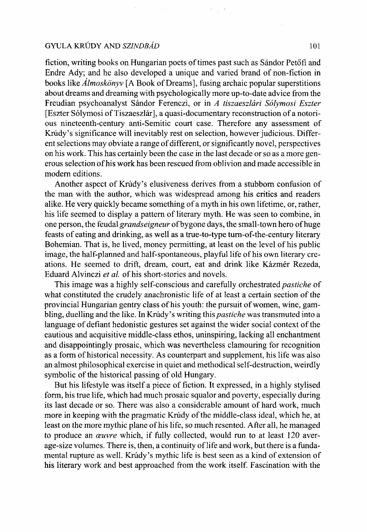#### GYULA KRÚDY AND *SZINDBÁD* 101

fiction, writing books on Hungarian poets of times past such as Sándor Petőfi and Endre Ady; and he also developed a unique and varied brand of non-fiction in books like *Almoskönyv* [A Book of Dreams], fusing archaic popular superstitions about dreams and dreaming with psychologically more up-to-date advice from the Freudian psychoanalyst Sándor Ferenczi, or in *A tiszaeszlári Sólymosi Eszter*  [Eszter Sólymosi of Tiszaeszlár], a quasi-documentary reconstruction of a notorious nineteenth-century anti-Semitic court case. Therefore any assessment of Krúdy's significance will inevitably rest on selection, however judicious. Different selections may obviate a range of different, or significantly novel, perspectives on his work. This has certainly been the case in the last decade or so as a more generous selection of his work has been rescued from oblivion and made accessible in modern editions.

Another aspect of Krúdy's elusiveness derives from a stubborn confusion of the man with the author, which was widespread among his critics and readers alike. He very quickly became something of a myth in his own lifetime, or, rather, his life seemed to display a pattern of literary myth. He was seen to combine, in one person, the feudal *grandseigneur* of bygone days, the small-town hero of huge feasts of eating and drinking, as well as a true-to-type turn-of-the-century literary Bohemian. That is, he lived, money permitting, at least on the level of his public image, the half-planned and half-spontaneous, playful life of his own literary creations. He seemed to drift, dream, court, eat and drink like Kázmér Rezeda, Eduard Alvinczi *et al.* of his short-stories and novels.

This image was a highly self-conscious and carefully orchestrated *pastiche* of what constituted the crudely anachronistic life of at least a certain section of the provincial Hungarian gentry class of his youth: the pursuit of women, wine, gambling, duelling and the like. In Krúdy's writing this *pastiche* was transmuted into a language of defiant hedonistic gestures set against the wider social context of the cautious and acquisitive middle-class ethos, uninspiring, lacking all enchantment and disappointingly prosaic, which was nevertheless clamouring for recognition as a form of historical necessity. As counterpart and supplement, his life was also an almost philosophical exercise in quiet and methodical self-destruction, weirdly symbolic of the historical passing of old Hungary.

But his lifestyle was itself a piece of fiction. It expressed, in a highly stylised form, his true life, which had much prosaic squalor and poverty, especially during its last decade or so. There was also a considerable amount of hard work, much more in keeping with the pragmatic Krúdy of the middle-class ideal, which he, at least on the more mythic plane of his life, so much resented. After all, he managed to produce an *œuvre* which, if fully collected, would run to at least 120 average-size volumes. There is, then, a continuity of life and work, but there is a fundamental rupture as well. Krúdy's mythic life is best seen as a kind of extension of his literary work and best approached from the work itself. Fascination with the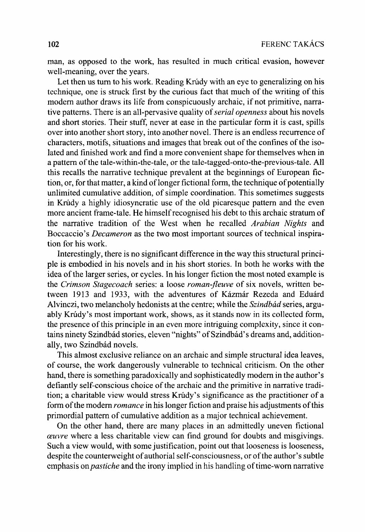man, as opposed to the work, has resulted in much critical evasion, however well-meaning, over the years.

Let then us turn to his work. Reading Krúdy with an eye to generalizing on his technique, one is struck first by the curious fact that much of the writing of this modern author draws its life from conspicuously archaic, if not primitive, narrative patterns. There is an all-pervasive quality of *serial openness* about his novels and short stories. Their stuff, never at ease in the particular form it is cast, spills over into another short story, into another novel. There is an endless recurrence of characters, motifs, situations and images that break out of the confines of the isolated and finished work and find a more convenient shape for themselves when in a pattern of the tale-within-the-tale, or the tale-tagged-onto-the-previous-tale. All this recalls the narrative technique prevalent at the beginnings of European fiction, or, for that matter, a kind of longer fictional form, the technique of potentially unlimited cumulative addition, of simple coordination. This sometimes suggests in Krúdy a highly idiosyncratic use of the old picaresque pattern and the even more ancient frame-tale. He himself recognised his debt to this archaic stratum of the narrative tradition of the West when he recalled *Arabian Nights* and Boccaccio's *Decameron* as the two most important sources of technical inspiration for his work.

Interestingly, there is no significant difference in the way this structural principle is embodied in his novels and in his short stories. In both he works with the idea of the larger series, or cycles. In his longer fiction the most noted example is the *Crimson Stagecoach* series: a loose *roman-ßeuve* of six novels, written between 1913 and 1933, with the adventures of Kázmár Rezeda and Eduárd Alvinczi, two melancholy hedonists at the centre; while the *Szindbád* series, arguably Krúdy's most important work, shows, as it stands now in its collected form, the presence of this principle in an even more intriguing complexity, since it contains ninety Szindbád stories, eleven "nights" of Szindbád's dreams and, additionally, two Szindbád novels.

This almost exclusive reliance on an archaic and simple structural idea leaves, of course, the work dangerously vulnerable to technical criticism. On the other hand, there is something paradoxically and sophisticatedly modern in the author's defiantly self-conscious choice of the archaic and the primitive in narrative tradition; a charitable view would stress Krúdy's significance as the practitioner of a form of the modern *romance* in his longer fiction and praise his adjustments of this primordial pattern of cumulative addition as a major technical achievement.

On the other hand, there are many places in an admittedly uneven fictional *œuvre* where a less charitable view can find ground for doubts and misgivings. Such a view would, with some justification, point out that looseness is looseness, despite the counterweight of authorial self-consciousness, or of the author's subtle emphasis on *pastiche* and the irony implied in his handling of time-worn narrative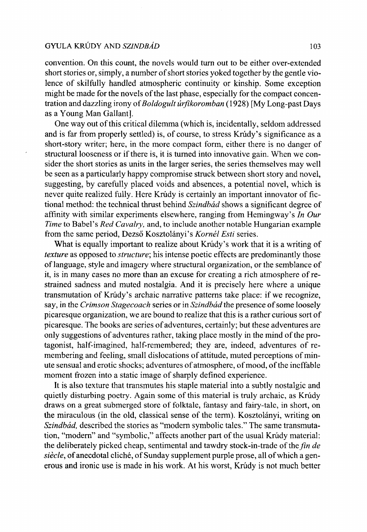#### GYULA KRÚDY AND *SZINDBÁD* 103

convention. On this count, the novels would turn out to be either over-extended short stories or, simply, a number of short stories yoked together by the gentle violence of skilfully handled atmospheric continuity or kinship. Some exception might be made for the novels of the last phase, especially for the compact concentration and dazzling irony of *Boldogult úrfikoromban* (1928) [My Long-past Days as a Young Man Gallant].

One way out of this critical dilemma (which is, incidentally, seldom addressed and is far from properly settled) is, of course, to stress Krúdy's significance as a short-story writer; here, in the more compact form, either there is no danger of structural looseness or if there is, it is turned into innovative gain. When we consider the short stories as units in the larger series, the series themselves may well be seen as a particularly happy compromise struck between short story and novel, suggesting, by carefully placed voids and absences, a potential novel, which is never quite realized fully. Here Krúdy is certainly an important innovator of fictional method: the technical thrust behind *Szindbád* shows a significant degree of affinity with similar experiments elsewhere, ranging from Hemingway's *In Our Time* to Babel's *Red Cavalry,* and, to include another notable Hungarian example from the same period, Dezső Kosztolányi's *Kornél Esti* series.

What is equally important to realize about Krúdy's work that it is a writing of *texture* as opposed to *structure;* his intense poetic effects are predominantly those of language, style and imagery where structural organization, or the semblance of it, is in many cases no more than an excuse for creating a rich atmosphere of restrained sadness and muted nostalgia. And it is precisely here where a unique transmutation of Krúdy's archaic narrative patterns take place: if we recognize, say, in the *Crimson Stagecoach* series or in *Szindbád the* presence of some loosely picaresque organization, we are bound to realize that this is a rather curious sort of picaresque. The books are series of adventures, certainly; but these adventures are only suggestions of adventures rather, taking place mostly in the mind of the protagonist, half-imagined, half-remembered; they are, indeed, adventures of remembering and feeling, small dislocations of attitude, muted perceptions of minute sensual and erotic shocks; adventures of atmosphere, of mood, of the ineffable moment frozen into a static image of sharply defined experience.

It is also texture that transmutes his staple material into a subtly nostalgic and quietly disturbing poetry. Again some of this material is truly archaic, as Krúdy draws on a great submerged store of folktale, fantasy and fairy-tale, in short, on the miraculous (in the old, classical sense of the term). Kosztolányi, writing on *Szindbád,* described the stories as "modern symbolic tales." The same transmutation, "modern" and "symbolic," affects another part of the usual Krúdy material: the deliberately picked cheap, sentimental and tawdry stock-in-trade of the *fin de siècle,* of anecdotal cliché, of Sunday supplement purple prose, all of which a generous and ironic use is made in his work. At his worst, Krúdy is not much better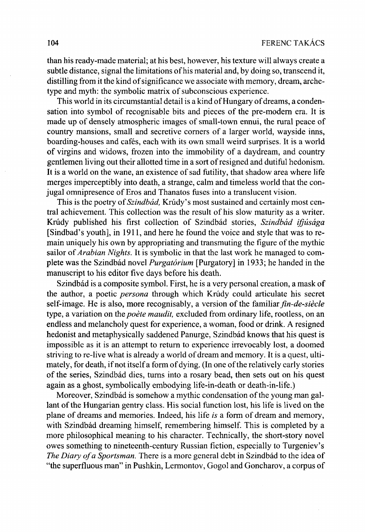than his ready-made material; at his best, however, his texture will always create a subtle distance, signal the limitations of his material and, by doing so, transcend it, distilling from it the kind of significance we associate with memory, dream, archetype and myth: the symbolic matrix of subconscious experience.

This world in its circumstantial detail is a kind of Hungary of dreams, a condensation into symbol of recognisable bits and pieces of the pre-modern era. It is made up of densely atmospheric images of small-town ennui, the rural peace of country mansions, small and secretive corners of a larger world, wayside inns, boarding-houses and cafés, each with its own small weird surprises. It is a world of virgins and widows, frozen into the immobility of a daydream, and country gentlemen living out their allotted time in a sort of resigned and dutiful hedonism. It is a world on the wane, an existence of sad futility, that shadow area where life merges imperceptibly into death, a strange, calm and timeless world that the conjugal omnipresence of Eros and Thanatos fuses into a translucent vision.

This is the poetry of *Szindbád,* Krúdy's most sustained and certainly most central achievement. This collection was the result of his slow maturity as a writer. Krúdy published his first collection of Szindbád stories, *Szindbád ifjúsága*  [Sindbad's youth], in 1911, and here he found the voice and style that was to remain uniquely his own by appropriating and transmuting the figure of the mythic sailor of *Arabian Nights.* It is symbolic in that the last work he managed to complete was the Szindbád novel *Purgatórium* [Purgatory] in 1933; he handed in the manuscript to his editor five days before his death.

Szindbád is a composite symbol. First, he is a very personal creation, a mask of the author, a poetic *persona* through which Krúdy could articulate his secret self-image. He is also, more recognisably, a version of the familiar *fin-de-siècle*  type, a variation on the *poète maudit,* excluded from ordinary life, rootless, on an endless and melancholy quest for experience, a woman, food or drink. A resigned hedonist and metaphysically saddened Panurge, Szindbád knows that his quest is impossible as it is an attempt to return to experience irrevocably lost, a doomed striving to re-live what is already a world of dream and memory. It is a quest, ultimately, for death, if not itself a form of dying. (In one of the relatively early stories of the series, Szindbád dies, turns into a rosary bead, then sets out on his quest again as a ghost, symbolically embodying life-in-death or death-in-life.)

Moreover, Szindbád is somehow a mythic condensation of the young man gallant of the Hungarian gentry class. His social function lost, his life is lived on the plane of dreams and memories. Indeed, his life *is* a form of dream and memory, with Szindbád dreaming himself, remembering himself. This is completed by a more philosophical meaning to his character. Technically, the short-story novel owes something to nineteenth-century Russian fiction, especially to Turgeniev's *The Diary of a Sportsman.* There is a more general debt in Szindbád to the idea of "the superfluous man" in Pushkin, Lermontov, Gogol and Goncharov, a corpus of